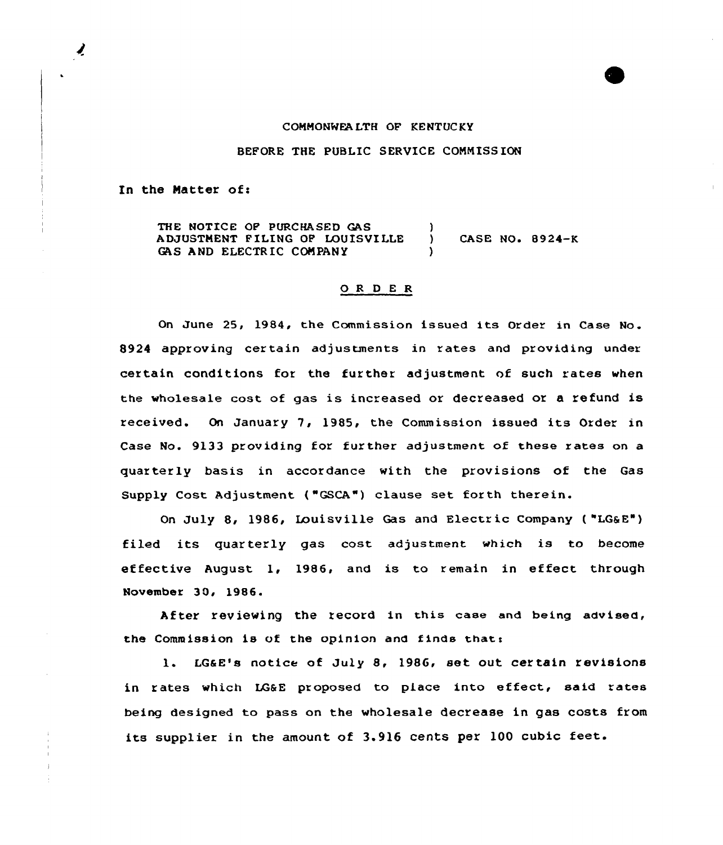#### COMMONREA LTH OF KENTUC KY

### BEFORE THE PUBLIC SERVICE COMMISS ION

In the Matter of:

 $\frac{1}{2}$ 

THE NOTICE OF PURCHASED GAS (1) ADJUSTMENT FILING OF LOUISVILLE ) CASE NO. 8924-K GAS AND ELECTRIC COMPANY

## O R D E R

On June 25, 1984, the Commission issued its Order in Case No. 8924 approving certain adjustments in rates and providing under certain conditions for the further adjustment of such rates when the wholesale cost of gas is increased or decreased or a refund is received. On January 7, 1985, the Commission issued its Order in Case No. 9133 providing for further adjustment of these rates on a quarterly basis in accordance with the provisions of the Gas Supply Cost Adjustment ("GSCA") clause set forth therein.

On July 8, 1986, Louisville Gas and Electric Company ( "LG6 E") filed its quarterly gas cost adjustment which is to become effective August 1, 1986, and is to remain in effect through November 30, 1986.

After reviewing the record in this case and being advised, the Commission is of the opinion and finds that:

1. LGaE's notice of July 8, 1986, set out certain revisions in rates which LG6E proposed to place into effect, said rates being designed to pass on the wholesale decrease in gas costs from its supplier in the amount of 3.916 cents per 100 cubic feet.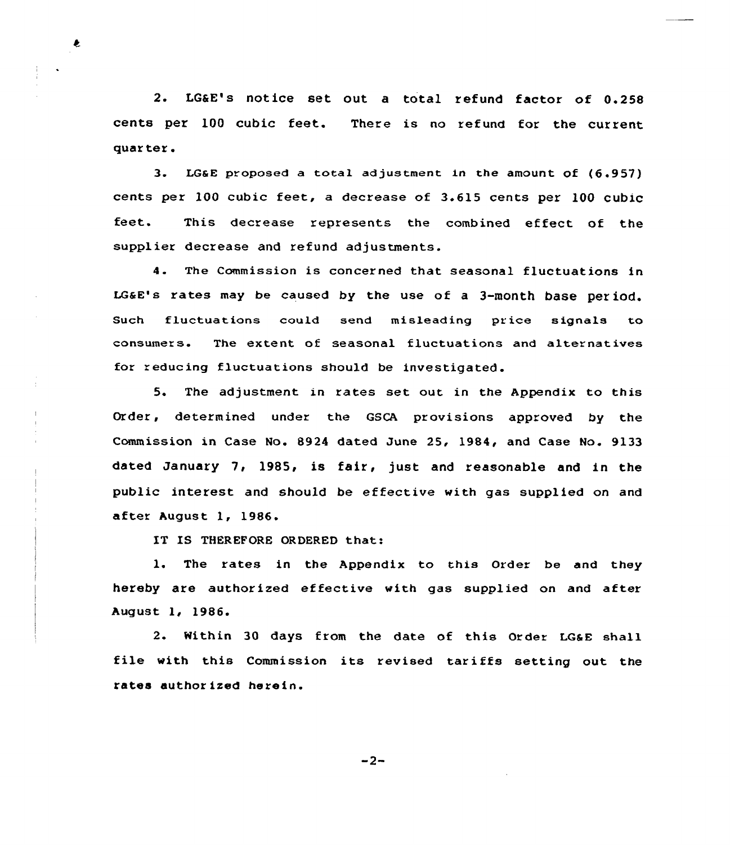2. LG&E's notice set out <sup>a</sup> total refund factor of 0.258 cents per 100 cubic feet. There is no refund for the current quar ter .

3. LG&E proposed a total adjustment in the amount of  $(6.957)$ cents per 100 cubic feet, a decrease of 3.615 cents per 100 cubic feet. This decrease represents the combined effeet of the supplier decrease and refund adjustments.

4. The Commission is concerned that seasonal fluctuations in LG&E's rates may be caused by the use of a 3-month base period. Such fluctuations could send misleading price signals to consumers. The extent of seasonal fluctuations and alternatives for reducing fluctuations should be investigated.

5. The adjustment in rates set out in the Appendix to this Order, determined under the GSCA provisions approved by the Commission in Case No. 8924 dated June 25, 1984, and Case No. 9133 dated January 7, 1985, is fair, just and reasonable and in the public interest and should be effective with gas supplied on and after August 1, 1986.

IT IS THEREFORE ORDERED that:

 $\pmb{\epsilon}$ 

1. The rates in the Appendix to this Order be and they hereby are authorized ef fective with gas supplied on and after August 1, 1986.

2. Within 30 days from the date of this Order LG6E shall file with this Commission its revised tariffs setting out the rates authorized herein.

 $-2-$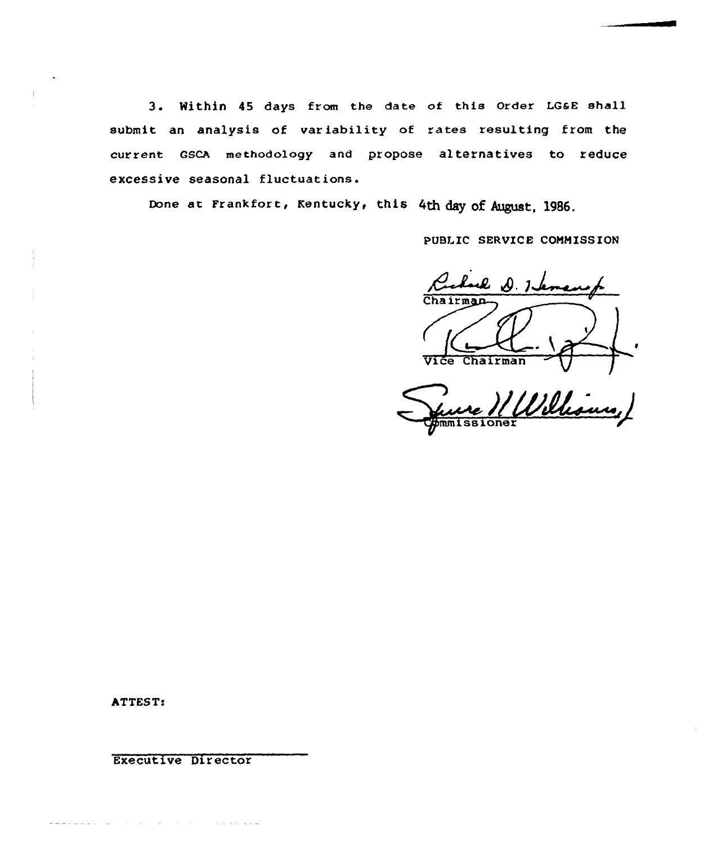3. Within 45 days from the date of this Order LG&E shall submit an analysis of var iability of rates resulting from the current GSCA methodology and propose alternatives to reduce excessive seasonal fluctuations.

Done at Frankfort, Kentucky, this 4th day of August, 1986.

PUBLIC SERVICE COMMISSION

Y 1 Chairman Vice Chairman

ure *HUN*isus,

**ATTEST:** 

eelee aan an din waar din san din de bel

Executive Director